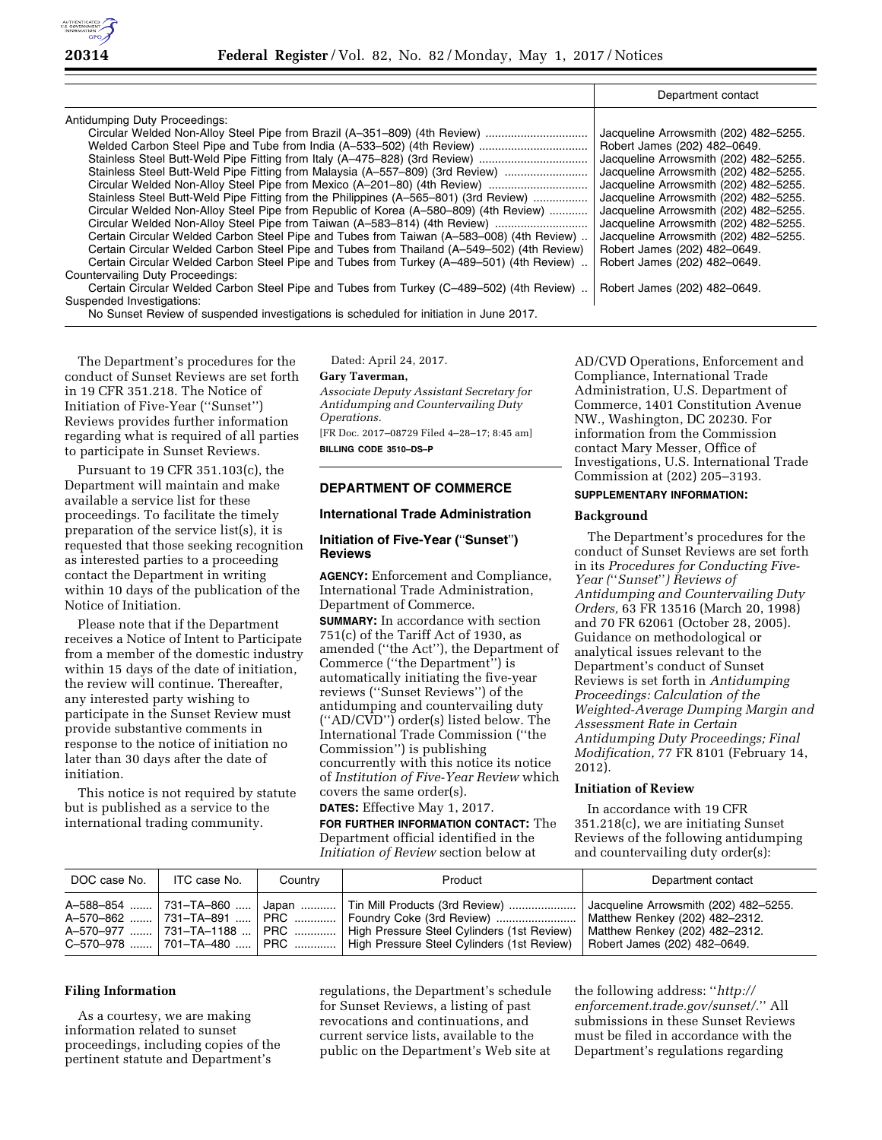

|                                                                                            | Department contact                    |
|--------------------------------------------------------------------------------------------|---------------------------------------|
| Antidumping Duty Proceedings:                                                              |                                       |
| Circular Welded Non-Alloy Steel Pipe from Brazil (A-351-809) (4th Review)                  | Jacqueline Arrowsmith (202) 482-5255. |
|                                                                                            | Robert James (202) 482-0649.          |
| Stainless Steel Butt-Weld Pipe Fitting from Italy (A-475-828) (3rd Review)                 | Jacqueline Arrowsmith (202) 482-5255. |
| Stainless Steel Butt-Weld Pipe Fitting from Malaysia (A-557-809) (3rd Review)              | Jacqueline Arrowsmith (202) 482-5255. |
|                                                                                            | Jacqueline Arrowsmith (202) 482-5255. |
| Stainless Steel Butt-Weld Pipe Fitting from the Philippines (A-565-801) (3rd Review)       | Jacqueline Arrowsmith (202) 482-5255. |
| Circular Welded Non-Alloy Steel Pipe from Republic of Korea (A-580-809) (4th Review)       | Jacqueline Arrowsmith (202) 482-5255. |
| Circular Welded Non-Alloy Steel Pipe from Taiwan (A-583-814) (4th Review)                  | Jacqueline Arrowsmith (202) 482-5255. |
| Certain Circular Welded Carbon Steel Pipe and Tubes from Taiwan (A-583-008) (4th Review).  | Jacqueline Arrowsmith (202) 482-5255. |
| Certain Circular Welded Carbon Steel Pipe and Tubes from Thailand (A-549-502) (4th Review) | Robert James (202) 482-0649.          |
| Certain Circular Welded Carbon Steel Pipe and Tubes from Turkey (A-489-501) (4th Review).  | Robert James (202) 482-0649.          |
| Countervailing Duty Proceedings:                                                           |                                       |
| Certain Circular Welded Carbon Steel Pipe and Tubes from Turkey (C-489-502) (4th Review).  | Robert James (202) 482-0649.          |
| Suspended Investigations:                                                                  |                                       |
| Nia Albara Bartan af an arab d'hora d'arte a h-ach a bhail farhdin a h-a h-ba a AAE        |                                       |

No Sunset Review of suspended investigations is scheduled for initiation in June 2017.

The Department's procedures for the conduct of Sunset Reviews are set forth in 19 CFR 351.218. The Notice of Initiation of Five-Year (''Sunset'') Reviews provides further information regarding what is required of all parties to participate in Sunset Reviews.

Pursuant to 19 CFR 351.103(c), the Department will maintain and make available a service list for these proceedings. To facilitate the timely preparation of the service list(s), it is requested that those seeking recognition as interested parties to a proceeding contact the Department in writing within 10 days of the publication of the Notice of Initiation.

Please note that if the Department receives a Notice of Intent to Participate from a member of the domestic industry within 15 days of the date of initiation, the review will continue. Thereafter, any interested party wishing to participate in the Sunset Review must provide substantive comments in response to the notice of initiation no later than 30 days after the date of initiation.

This notice is not required by statute but is published as a service to the international trading community.

Dated: April 24, 2017.

### **Gary Taverman,**

*Associate Deputy Assistant Secretary for Antidumping and Countervailing Duty Operations.* 

[FR Doc. 2017–08729 Filed 4–28–17; 8:45 am] **BILLING CODE 3510–DS–P** 

### **DEPARTMENT OF COMMERCE**

## **International Trade Administration**

## **Initiation of Five-Year (**''**Sunset**''**) Reviews**

**AGENCY:** Enforcement and Compliance, International Trade Administration, Department of Commerce.

**SUMMARY:** In accordance with section  $751(c)$  of the Tariff Act of 1930, as amended (''the Act''), the Department of Commerce (''the Department'') is automatically initiating the five-year reviews (''Sunset Reviews'') of the antidumping and countervailing duty (''AD/CVD'') order(s) listed below. The International Trade Commission (''the Commission'') is publishing concurrently with this notice its notice of *Institution of Five-Year Review* which covers the same order(s).

**DATES:** Effective May 1, 2017.

**FOR FURTHER INFORMATION CONTACT:** The Department official identified in the *Initiation of Review* section below at

AD/CVD Operations, Enforcement and Compliance, International Trade Administration, U.S. Department of Commerce, 1401 Constitution Avenue NW., Washington, DC 20230. For information from the Commission contact Mary Messer, Office of Investigations, U.S. International Trade Commission at (202) 205–3193.

### **SUPPLEMENTARY INFORMATION:**

### **Background**

The Department's procedures for the conduct of Sunset Reviews are set forth in its *Procedures for Conducting Five-Year (*''*Sunset*''*) Reviews of Antidumping and Countervailing Duty Orders,* 63 FR 13516 (March 20, 1998) and 70 FR 62061 (October 28, 2005). Guidance on methodological or analytical issues relevant to the Department's conduct of Sunset Reviews is set forth in *Antidumping Proceedings: Calculation of the Weighted-Average Dumping Margin and Assessment Rate in Certain Antidumping Duty Proceedings; Final Modification,* 77 FR 8101 (February 14, 2012).

#### **Initiation of Review**

In accordance with 19 CFR 351.218(c), we are initiating Sunset Reviews of the following antidumping and countervailing duty order(s):

| DOC case No. | ITC case No.                                                                            | Country | Product                                                                                                                                                                                             | Department contact                                                                                                                        |
|--------------|-----------------------------------------------------------------------------------------|---------|-----------------------------------------------------------------------------------------------------------------------------------------------------------------------------------------------------|-------------------------------------------------------------------------------------------------------------------------------------------|
|              | A-588-854  731-TA-860<br>A-570-977  731-TA-1188  PRC   <br>C-570-978  701-TA-480    PRC |         | Japan    Tin Mill Products (3rd Review)<br>A-570-862  731-TA-891    PRC    Foundry Coke (3rd Review)   <br>High Pressure Steel Cylinders (1st Review)<br>High Pressure Steel Cylinders (1st Review) | Jacqueline Arrowsmith (202) 482-5255.<br>Matthew Renkey (202) 482-2312.<br>Matthew Renkey (202) 482-2312.<br>Robert James (202) 482-0649. |

### **Filing Information**

As a courtesy, we are making information related to sunset proceedings, including copies of the pertinent statute and Department's

regulations, the Department's schedule for Sunset Reviews, a listing of past revocations and continuations, and current service lists, available to the public on the Department's Web site at the following address: ''*[http://](http://enforcement.trade.gov/sunset/) [enforcement.trade.gov/sunset/.](http://enforcement.trade.gov/sunset/)*'' All submissions in these Sunset Reviews must be filed in accordance with the Department's regulations regarding